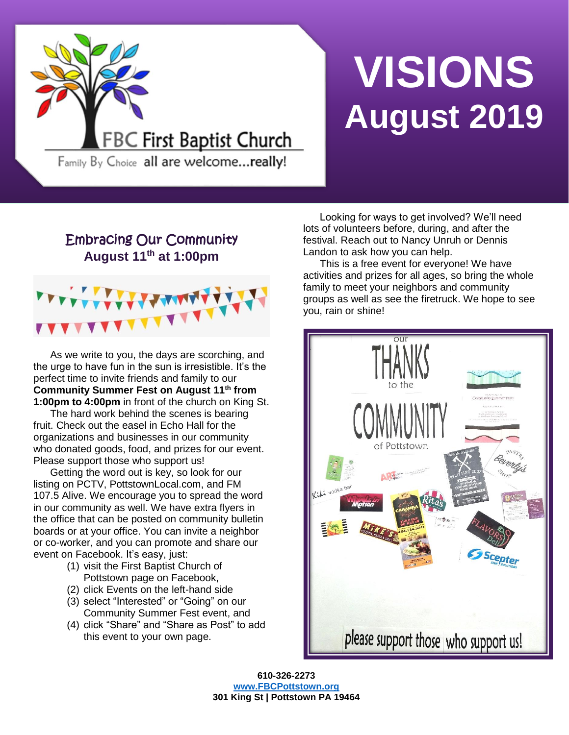

# **VISIONS August 2019**

Family By Choice all are welcome...really!

# Embracing Our Community **August 11th at 1:00pm**



As we write to you, the days are scorching, and the urge to have fun in the sun is irresistible. It's the perfect time to invite friends and family to our **Community Summer Fest on August 11th from 1:00pm to 4:00pm** in front of the church on King St.

The hard work behind the scenes is bearing fruit. Check out the easel in Echo Hall for the organizations and businesses in our community who donated goods, food, and prizes for our event. Please support those who support us!

Getting the word out is key, so look for our listing on PCTV, PottstownLocal.com, and FM 107.5 Alive. We encourage you to spread the word in our community as well. We have extra flyers in the office that can be posted on community bulletin boards or at your office. You can invite a neighbor or co-worker, and you can promote and share our event on Facebook. It's easy, just:

- (1) visit the First Baptist Church of Pottstown page on Facebook,
- (2) click Events on the left-hand side
- (3) select "Interested" or "Going" on our Community Summer Fest event, and
- (4) click "Share" and "Share as Post" to add this event to your own page.

Looking for ways to get involved? We'll need lots of volunteers before, during, and after the festival. Reach out to Nancy Unruh or Dennis Landon to ask how you can help.

This is a free event for everyone! We have activities and prizes for all ages, so bring the whole family to meet your neighbors and community groups as well as see the firetruck. We hope to see you, rain or shine!



**610-326-2273 [www.FBCPottstown.org](http://www.fbcpottstown.org/) 301 King St | Pottstown PA 19464**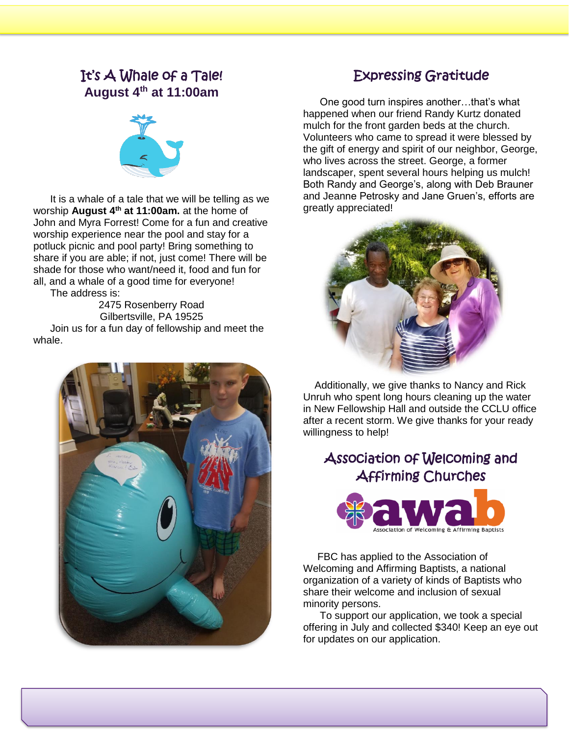# It's A Whale of a Tale! **August 4 th at 11:00am**



It is a whale of a tale that we will be telling as we worship **August 4 th at 11:00am.** at the home of John and Myra Forrest! Come for a fun and creative worship experience near the pool and stay for a potluck picnic and pool party! Bring something to share if you are able; if not, just come! There will be shade for those who want/need it, food and fun for all, and a whale of a good time for everyone! The address is:

2475 Rosenberry Road Gilbertsville, PA 19525 Join us for a fun day of fellowship and meet the whale.



# Expressing Gratitude

One good turn inspires another…that's what happened when our friend Randy Kurtz donated mulch for the front garden beds at the church. Volunteers who came to spread it were blessed by the gift of energy and spirit of our neighbor, George, who lives across the street. George, a former landscaper, spent several hours helping us mulch! Both Randy and George's, along with Deb Brauner and Jeanne Petrosky and Jane Gruen's, efforts are greatly appreciated!



 Additionally, we give thanks to Nancy and Rick Unruh who spent long hours cleaning up the water in New Fellowship Hall and outside the CCLU office after a recent storm. We give thanks for your ready willingness to help!

# Association of Welcoming and Affirming Churches



 FBC has applied to the Association of Welcoming and Affirming Baptists, a national organization of a variety of kinds of Baptists who share their welcome and inclusion of sexual minority persons.

To support our application, we took a special offering in July and collected \$340! Keep an eye out for updates on our application.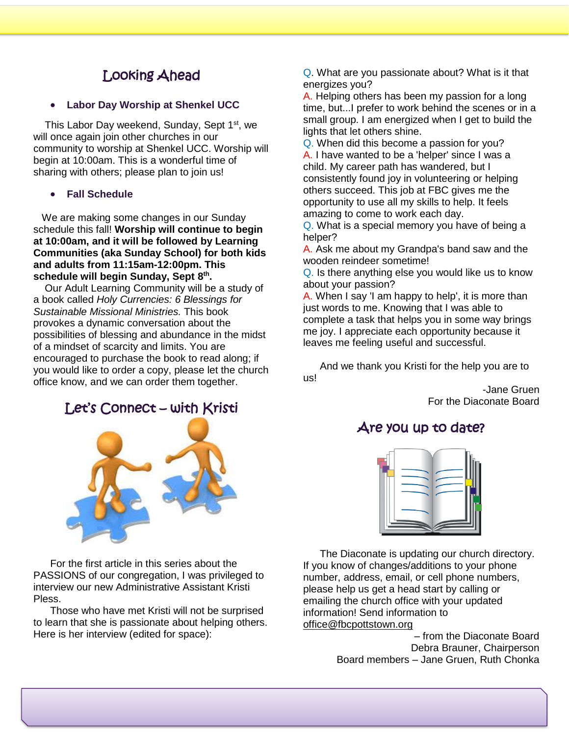# Looking Ahead

• **Labor Day Worship at Shenkel UCC**

This Labor Day weekend, Sunday, Sept 1<sup>st</sup>, we will once again join other churches in our community to worship at Shenkel UCC. Worship will begin at 10:00am. This is a wonderful time of sharing with others; please plan to join us!

#### • **Fall Schedule**

 We are making some changes in our Sunday schedule this fall! **Worship will continue to begin at 10:00am, and it will be followed by Learning Communities (aka Sunday School) for both kids and adults from 11:15am-12:00pm. This schedule will begin Sunday, Sept 8 th .**

 Our Adult Learning Community will be a study of a book called *Holy Currencies: 6 Blessings for Sustainable Missional Ministries.* This book provokes a dynamic conversation about the possibilities of blessing and abundance in the midst of a mindset of scarcity and limits. You are encouraged to purchase the book to read along; if you would like to order a copy, please let the church office know, and we can order them together.

## Let's Connect – with Kristi



For the first article in this series about the PASSIONS of our congregation, I was privileged to interview our new Administrative Assistant Kristi Pless.

Those who have met Kristi will not be surprised to learn that she is passionate about helping others. Here is her interview (edited for space):

Q. What are you passionate about? What is it that energizes you?

A. Helping others has been my passion for a long time, but...I prefer to work behind the scenes or in a small group. I am energized when I get to build the lights that let others shine.

Q. When did this become a passion for you? A. I have wanted to be a 'helper' since I was a child. My career path has wandered, but I consistently found joy in volunteering or helping others succeed. This job at FBC gives me the opportunity to use all my skills to help. It feels amazing to come to work each day.

Q. What is a special memory you have of being a helper?

A. Ask me about my Grandpa's band saw and the wooden reindeer sometime!

Q. Is there anything else you would like us to know about your passion?

A. When I say 'I am happy to help', it is more than just words to me. Knowing that I was able to complete a task that helps you in some way brings me joy. I appreciate each opportunity because it leaves me feeling useful and successful.

And we thank you Kristi for the help you are to us!

> -Jane Gruen For the Diaconate Board

## Are you up to date?



The Diaconate is updating our church directory. If you know of changes/additions to your phone number, address, email, or cell phone numbers, please help us get a head start by calling or emailing the church office with your updated information! Send information to [office@fbcpottstown.org](mailto:office@fbcpottstown.org)

> – from the Diaconate Board Debra Brauner, Chairperson Board members – Jane Gruen, Ruth Chonka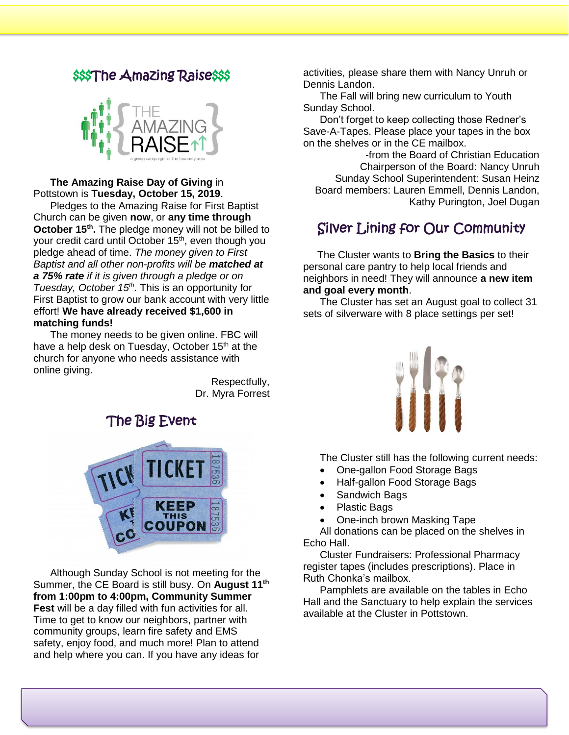## \$\$\$The Amazing Raise\$\$\$



#### **The Amazing Raise Day of Giving** in Pottstown is **Tuesday, October 15, 2019**.

Pledges to the Amazing Raise for First Baptist Church can be given **now**, or **any time through October 15<sup>th</sup>**. The pledge money will not be billed to your credit card until October 15<sup>th</sup>, even though you pledge ahead of time. *The money given to First Baptist and all other non-profits will be matched at a 75% rate if it is given through a pledge or on Tuesday, October 15th .* This is an opportunity for First Baptist to grow our bank account with very little effort! **We have already received \$1,600 in matching funds!**

The money needs to be given online. FBC will have a help desk on Tuesday, October 15<sup>th</sup> at the church for anyone who needs assistance with online giving.

> Respectfully, Dr. Myra Forrest



Although Sunday School is not meeting for the Summer, the CE Board is still busy. On **August 11th from 1:00pm to 4:00pm, Community Summer Fest** will be a day filled with fun activities for all. Time to get to know our neighbors, partner with community groups, learn fire safety and EMS safety, enjoy food, and much more! Plan to attend and help where you can. If you have any ideas for

activities, please share them with Nancy Unruh or Dennis Landon.

The Fall will bring new curriculum to Youth Sunday School.

Don't forget to keep collecting those Redner's Save-A-Tapes. Please place your tapes in the box on the shelves or in the CE mailbox.

-from the Board of Christian Education Chairperson of the Board: Nancy Unruh Sunday School Superintendent: Susan Heinz Board members: Lauren Emmell, Dennis Landon, Kathy Purington, Joel Dugan

# Silver Lining for Our Community

 The Cluster wants to **Bring the Basics** to their personal care pantry to help local friends and neighbors in need! They will announce **a new item and goal every month**.

The Cluster has set an August goal to collect 31 sets of silverware with 8 place settings per set!



The Cluster still has the following current needs:

- One-gallon Food Storage Bags
- Half-gallon Food Storage Bags
- Sandwich Bags
- Plastic Bags
- One-inch brown Masking Tape

All donations can be placed on the shelves in Echo Hall.

Cluster Fundraisers: Professional Pharmacy register tapes (includes prescriptions). Place in Ruth Chonka's mailbox.

Pamphlets are available on the tables in Echo Hall and the Sanctuary to help explain the services available at the Cluster in Pottstown.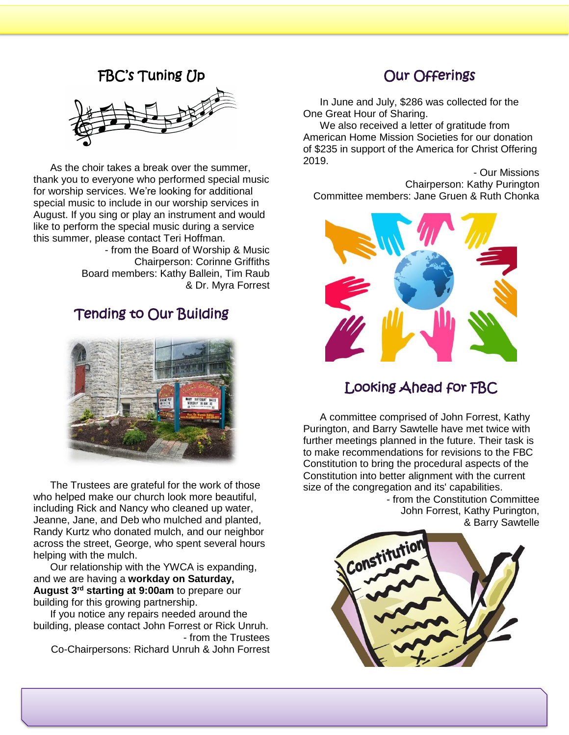## FBC's Tuning Up



As the choir takes a break over the summer, thank you to everyone who performed special music for worship services. We're looking for additional special music to include in our worship services in August. If you sing or play an instrument and would like to perform the special music during a service this summer, please contact Teri Hoffman.

> - from the Board of Worship & Music Chairperson: Corinne Griffiths Board members: Kathy Ballein, Tim Raub & Dr. Myra Forrest

# Tending to Our Building



The Trustees are grateful for the work of those who helped make our church look more beautiful. including Rick and Nancy who cleaned up water, Jeanne, Jane, and Deb who mulched and planted, Randy Kurtz who donated mulch, and our neighbor across the street, George, who spent several hours helping with the mulch.

Our relationship with the YWCA is expanding, and we are having a **workday on Saturday, August 3rd starting at 9:00am** to prepare our building for this growing partnership.

If you notice any repairs needed around the building, please contact John Forrest or Rick Unruh. - from the Trustees

Co-Chairpersons: Richard Unruh & John Forrest

# Our Offerings

In June and July, \$286 was collected for the One Great Hour of Sharing.

We also received a letter of gratitude from American Home Mission Societies for our donation of \$235 in support of the America for Christ Offering 2019.

- Our Missions Chairperson: Kathy Purington Committee members: Jane Gruen & Ruth Chonka



# Looking Ahead for FBC

A committee comprised of John Forrest, Kathy Purington, and Barry Sawtelle have met twice with further meetings planned in the future. Their task is to make recommendations for revisions to the FBC Constitution to bring the procedural aspects of the Constitution into better alignment with the current size of the congregation and its' capabilities.

> - from the Constitution Committee John Forrest, Kathy Purington, & Barry Sawtelle